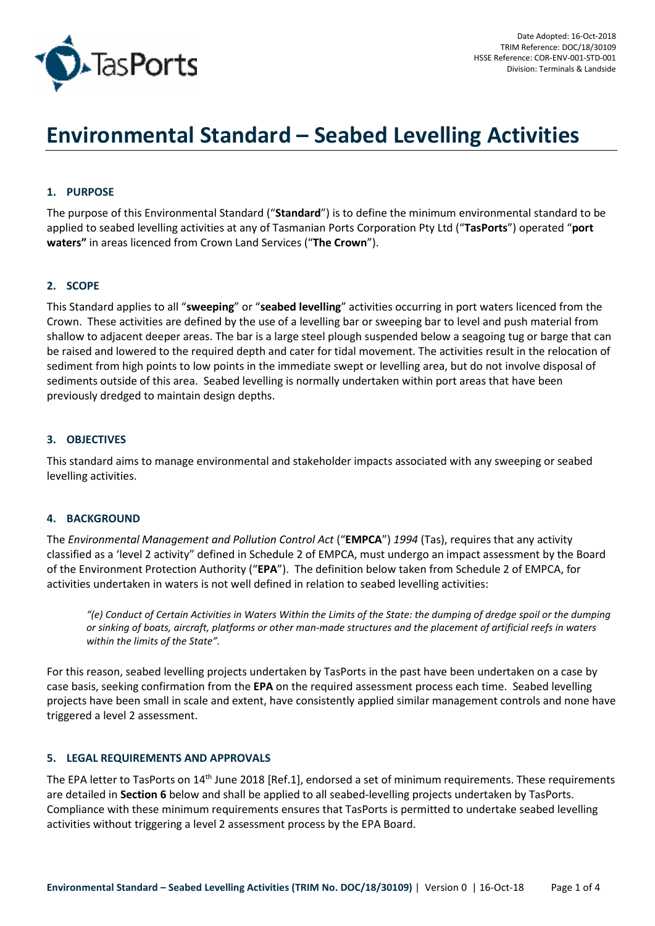

# **Environmental Standard – Seabed Levelling Activities**

# **1. PURPOSE**

The purpose of this Environmental Standard ("**Standard**") is to define the minimum environmental standard to be applied to seabed levelling activities at any of Tasmanian Ports Corporation Pty Ltd ("**TasPorts**") operated "**port waters"** in areas licenced from Crown Land Services ("**The Crown**").

## **2. SCOPE**

This Standard applies to all "**sweeping**" or "**seabed levelling**" activities occurring in port waters licenced from the Crown. These activities are defined by the use of a levelling bar or sweeping bar to level and push material from shallow to adjacent deeper areas. The bar is a large steel plough suspended below a seagoing tug or barge that can be raised and lowered to the required depth and cater for tidal movement. The activities result in the relocation of sediment from high points to low points in the immediate swept or levelling area, but do not involve disposal of sediments outside of this area. Seabed levelling is normally undertaken within port areas that have been previously dredged to maintain design depths.

## **3. OBJECTIVES**

This standard aims to manage environmental and stakeholder impacts associated with any sweeping or seabed levelling activities.

#### **4. BACKGROUND**

The *Environmental Management and Pollution Control Act* ("**EMPCA**") *1994* (Tas), requires that any activity classified as a 'level 2 activity" defined in Schedule 2 of EMPCA, must undergo an impact assessment by the Board of the Environment Protection Authority ("**EPA**"). The definition below taken from Schedule 2 of EMPCA, for activities undertaken in waters is not well defined in relation to seabed levelling activities:

*"(e) Conduct of Certain Activities in Waters Within the Limits of the State: the dumping of dredge spoil or the dumping or sinking of boats, aircraft, platforms or other man-made structures and the placement of artificial reefs in waters within the limits of the State".* 

For this reason, seabed levelling projects undertaken by TasPorts in the past have been undertaken on a case by case basis, seeking confirmation from the **EPA** on the required assessment process each time. Seabed levelling projects have been small in scale and extent, have consistently applied similar management controls and none have triggered a level 2 assessment.

#### **5. LEGAL REQUIREMENTS AND APPROVALS**

The EPA letter to TasPorts on 14<sup>th</sup> June 2018 [Ref.1], endorsed a set of minimum requirements. These requirements are detailed in **Section 6** below and shall be applied to all seabed-levelling projects undertaken by TasPorts. Compliance with these minimum requirements ensures that TasPorts is permitted to undertake seabed levelling activities without triggering a level 2 assessment process by the EPA Board.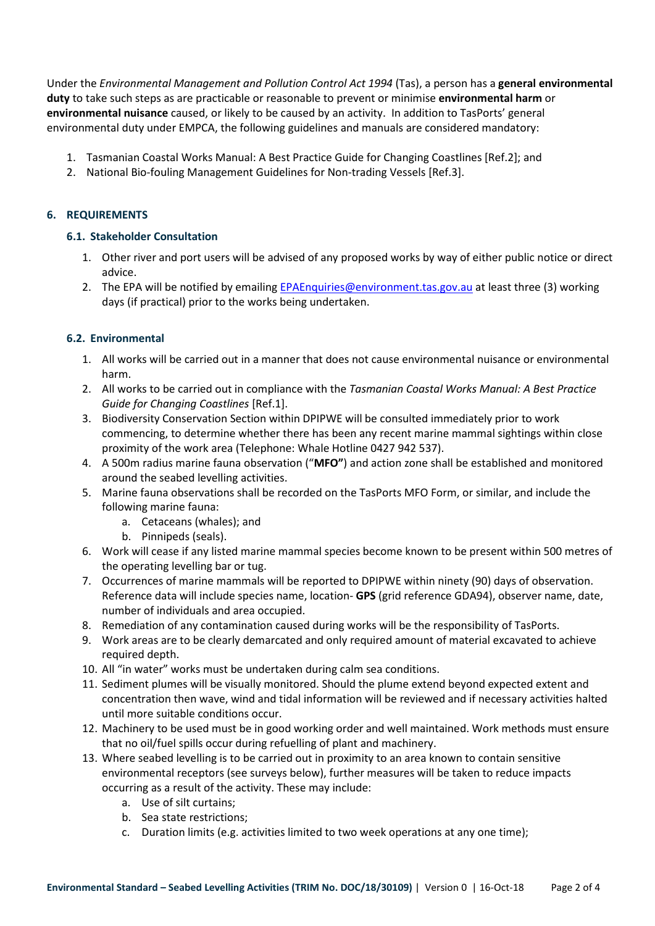Under the *Environmental Management and Pollution Control Act 1994* (Tas), a person has a **general environmental duty** to take such steps as are practicable or reasonable to prevent or minimise **environmental harm** or **environmental nuisance** caused, or likely to be caused by an activity. In addition to TasPorts' general environmental duty under EMPCA, the following guidelines and manuals are considered mandatory:

- 1. Tasmanian Coastal Works Manual: A Best Practice Guide for Changing Coastlines [Ref.2]; and
- 2. National Bio-fouling Management Guidelines for Non-trading Vessels [Ref.3].

# **6. REQUIREMENTS**

# **6.1. Stakeholder Consultation**

- 1. Other river and port users will be advised of any proposed works by way of either public notice or direct advice.
- 2. The EPA will be notified by emailing EPAEnquiries@environment.tas.gov.au at least three (3) working days (if practical) prior to the works being undertaken.

# **6.2. Environmental**

- 1. All works will be carried out in a manner that does not cause environmental nuisance or environmental harm.
- 2. All works to be carried out in compliance with the *Tasmanian Coastal Works Manual: A Best Practice Guide for Changing Coastlines* [Ref.1].
- 3. Biodiversity Conservation Section within DPIPWE will be consulted immediately prior to work commencing, to determine whether there has been any recent marine mammal sightings within close proximity of the work area (Telephone: Whale Hotline 0427 942 537).
- 4. A 500m radius marine fauna observation ("**MFO"**) and action zone shall be established and monitored around the seabed levelling activities.
- 5. Marine fauna observations shall be recorded on the TasPorts MFO Form, or similar, and include the following marine fauna:
	- a. Cetaceans (whales); and
	- b. Pinnipeds (seals).
- 6. Work will cease if any listed marine mammal species become known to be present within 500 metres of the operating levelling bar or tug.
- 7. Occurrences of marine mammals will be reported to DPIPWE within ninety (90) days of observation. Reference data will include species name, location- **GPS** (grid reference GDA94), observer name, date, number of individuals and area occupied.
- 8. Remediation of any contamination caused during works will be the responsibility of TasPorts.
- 9. Work areas are to be clearly demarcated and only required amount of material excavated to achieve required depth.
- 10. All "in water" works must be undertaken during calm sea conditions.
- 11. Sediment plumes will be visually monitored. Should the plume extend beyond expected extent and concentration then wave, wind and tidal information will be reviewed and if necessary activities halted until more suitable conditions occur.
- 12. Machinery to be used must be in good working order and well maintained. Work methods must ensure that no oil/fuel spills occur during refuelling of plant and machinery.
- 13. Where seabed levelling is to be carried out in proximity to an area known to contain sensitive environmental receptors (see surveys below), further measures will be taken to reduce impacts occurring as a result of the activity. These may include:
	- a. Use of silt curtains;
	- b. Sea state restrictions;
	- c. Duration limits (e.g. activities limited to two week operations at any one time);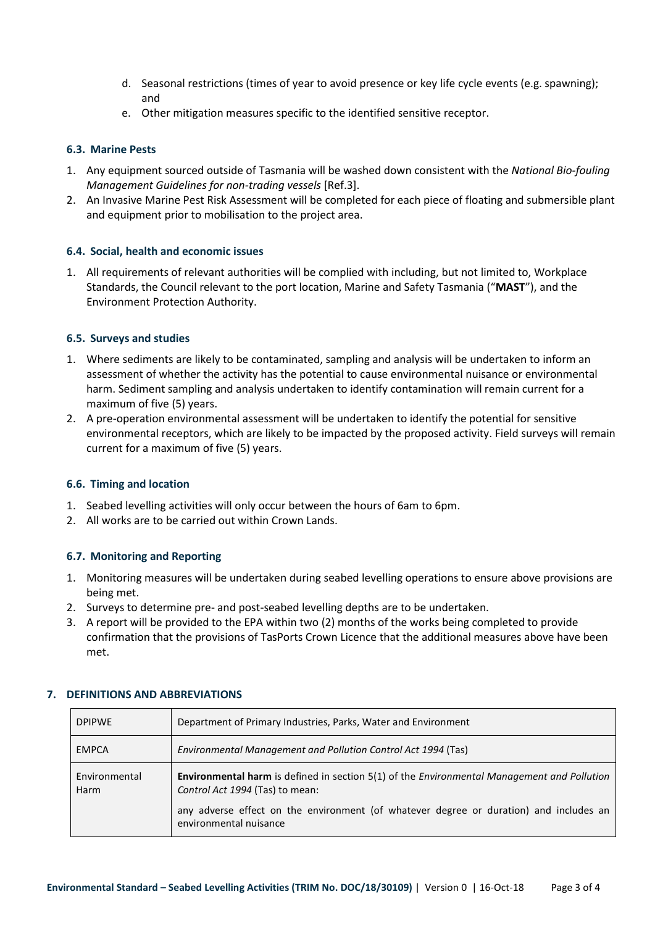- d. Seasonal restrictions (times of year to avoid presence or key life cycle events (e.g. spawning); and
- e. Other mitigation measures specific to the identified sensitive receptor.

# **6.3. Marine Pests**

- 1. Any equipment sourced outside of Tasmania will be washed down consistent with the *National Bio-fouling Management Guidelines for non-trading vessels* [Ref.3].
- 2. An Invasive Marine Pest Risk Assessment will be completed for each piece of floating and submersible plant and equipment prior to mobilisation to the project area.

# **6.4. Social, health and economic issues**

1. All requirements of relevant authorities will be complied with including, but not limited to, Workplace Standards, the Council relevant to the port location, Marine and Safety Tasmania ("**MAST**"), and the Environment Protection Authority.

# **6.5. Surveys and studies**

- 1. Where sediments are likely to be contaminated, sampling and analysis will be undertaken to inform an assessment of whether the activity has the potential to cause environmental nuisance or environmental harm. Sediment sampling and analysis undertaken to identify contamination will remain current for a maximum of five (5) years.
- 2. A pre-operation environmental assessment will be undertaken to identify the potential for sensitive environmental receptors, which are likely to be impacted by the proposed activity. Field surveys will remain current for a maximum of five (5) years.

# **6.6. Timing and location**

- 1. Seabed levelling activities will only occur between the hours of 6am to 6pm.
- 2. All works are to be carried out within Crown Lands.

# **6.7. Monitoring and Reporting**

- 1. Monitoring measures will be undertaken during seabed levelling operations to ensure above provisions are being met.
- 2. Surveys to determine pre- and post-seabed levelling depths are to be undertaken.
- 3. A report will be provided to the EPA within two (2) months of the works being completed to provide confirmation that the provisions of TasPorts Crown Licence that the additional measures above have been met.

| <b>DPIPWE</b>         | Department of Primary Industries, Parks, Water and Environment                                                                                                                                                                                                   |
|-----------------------|------------------------------------------------------------------------------------------------------------------------------------------------------------------------------------------------------------------------------------------------------------------|
| <b>EMPCA</b>          | Environmental Management and Pollution Control Act 1994 (Tas)                                                                                                                                                                                                    |
| Environmental<br>Harm | <b>Environmental harm</b> is defined in section 5(1) of the <i>Environmental Management and Pollution</i><br>Control Act 1994 (Tas) to mean:<br>any adverse effect on the environment (of whatever degree or duration) and includes an<br>environmental nuisance |

# **7. DEFINITIONS AND ABBREVIATIONS**